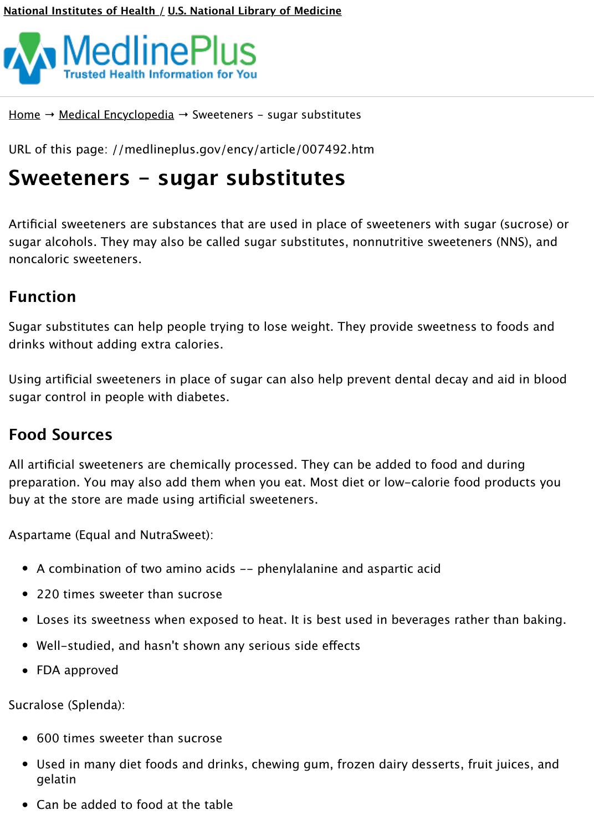[Artificial sweeteners are substances that are used](https://medlineplus.gov/medlineplus.html) in place of sweeteners with suga sugar alcohols. They may also be called sugar substitutes, nonnutritive sweeteners noncaloric sweeteners.

# **[Func](https://medlineplus.gov/)ti[on](https://medlineplus.gov/encyclopedia.html)**

Sugar substitutes can help people trying to lose weight. They provide sweetness to drinks without adding extra calories.

Using artificial sweeteners in place of sugar can also help prevent dental decay and sugar control in people with diabetes.

## **[Food Sources](https://medlineplus.gov/ency/article/002444.htm)**

All artificial sweeteners are chemically processed. They can be added to food and d preparation. You may also add them when you eat. Most diet or low-calorie food p buy at the store are made using artificial sweeteners.

Aspartame (Equal and NutraSweet):

- A combination of two amino acids -- phenylalanine and aspartic acid
- 220 times sweeter than sucrose
- Loses its sweetness when exposed to heat. It is best used in beverages rather
- Well-studied, and hasn't shown any serious side effects
- FDA approved

Sucralose (Splenda):

- 600 times sweeter than sucrose
- Used in many diet foods and drinks, chewing gum, frozen dairy desserts, fruit gelatin
- Can be added to food at the table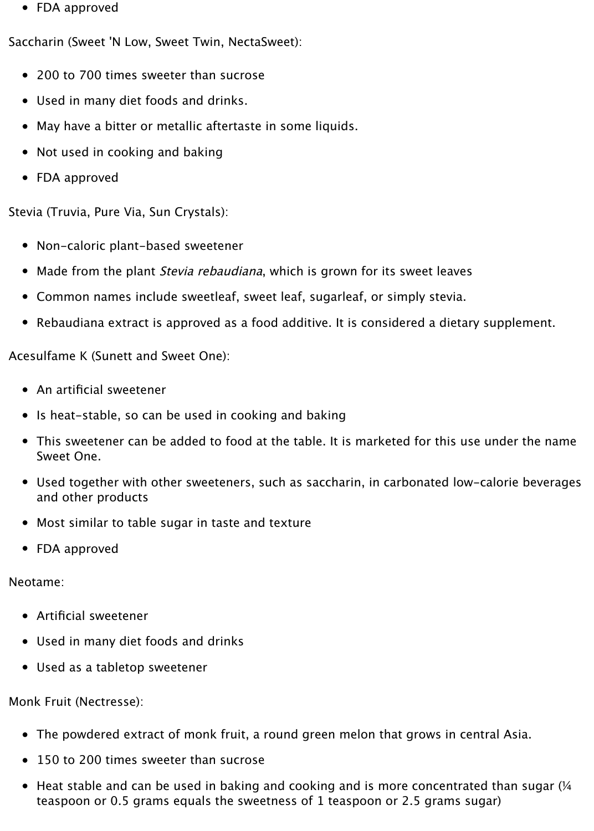• FDA approved

Saccharin (Sweet 'N Low, Sweet Twin, NectaSweet):

- 200 to 700 times sweeter than sucrose
- Used in many diet foods and drinks.
- May have a bitter or metallic aftertaste in some liquids.
- Not used in cooking and baking
- FDA approved

Stevia (Truvia, Pure Via, Sun Crystals):

- Non-caloric plant-based sweetener
- Made from the plant *Stevia rebaudiana*, which is grown for its sweet leaves
- Common names include sweetleaf, sweet leaf, sugarleaf, or simply stevia.
- Rebaudiana extract is approved as a food additive. It is considered a dietary supplement.

Acesulfame K (Sunett and Sweet One):

- An artificial sweetener
- Is heat-stable, so can be used in cooking and baking
- This sweetener can be added to food at the table. It is marketed for this use under the name Sweet One.
- Used together with other sweeteners, such as saccharin, in carbonated low-calorie beverages and other products
- Most similar to table sugar in taste and texture
- FDA approved

Neotame:

- Artificial sweetener
- Used in many diet foods and drinks
- Used as a tabletop sweetener

Monk Fruit (Nectresse):

- The powdered extract of monk fruit, a round green melon that grows in central Asia.
- 150 to 200 times sweeter than sucrose
- $\bullet$  Heat stable and can be used in baking and cooking and is more concentrated than sugar ( $\frac{1}{4}$ teaspoon or 0.5 grams equals the sweetness of 1 teaspoon or 2.5 grams sugar)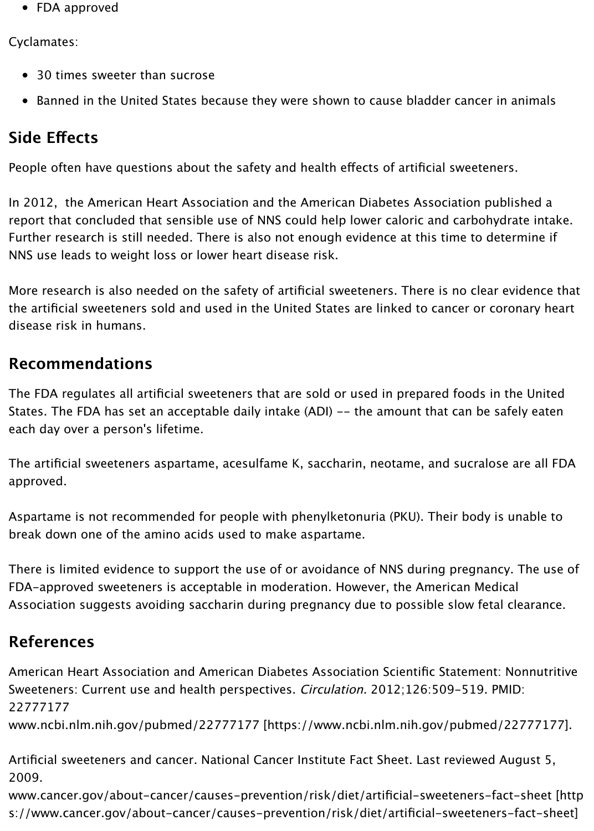In 2012, the American Heart Association and the American Diabetes Association published and analyzed and analyze report that concluded that sensible use of NNS could help lower caloric and carboh Further research is still needed. There is also not enough evidence at this time to determine if NNS use leads to weight loss or lower heart disease risk.

More research is also needed on the safety of artificial sweeteners. There is no clear the artificial sweeteners sold and used in the United States are linked to cancer or disease risk in humans.

### **Recommendations**

The FDA regulates all artificial sweeteners that are sold or used in prepared foods States. The FDA has set an acceptable daily intake (ADI) -- the amount that can be each day over a person's lifetime.

The artificial sweeteners aspartame, acesulfame K, saccharin, neotame, and sucral approved.

Aspartame is not recommended for people with phenylketonuria (PKU). Their body break down one of the amino acids used to make aspartame.

There is limited evidence to support the use of or avoidance of NNS during pregna FDA-approved sweeteners is acceptable in moderation. However, the American Me Association suggests avoiding saccharin during pregnancy due to possible slow fetal clearance.

### **References**

American Heart Association and American Diabetes Association Scientific Statemer Sweeteners: Current use and health perspectives. Circulation. 2012;126:509-519. 22777177

www.ncbi.nlm.nih.gov/pubmed/22777177 [htt[ps://www.ncbi.nlm](https://medlineplus.gov/ency/article/001166.htm).nih.gov/pubme

Artificial sweeteners and cancer. National Cancer Institute Fact Sheet. Last reviewed 2009.

www.cancer.gov/about-cancer/causes-prevention/risk/diet/artificial-sweetenerss://www.cancer.gov/about-cancer/causes-prevention/risk/diet/artificial-sweeten